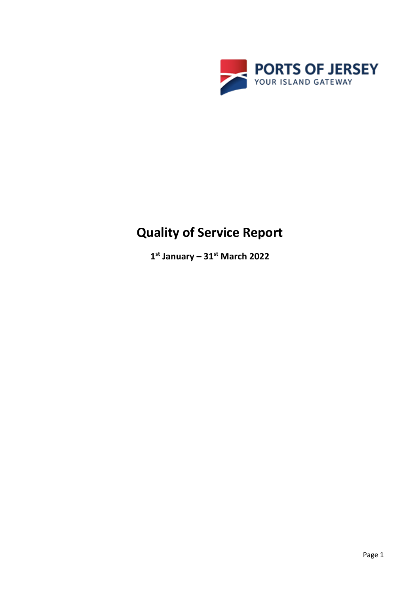

# **Quality of Service Report**

**1 st January – 31st March 2022**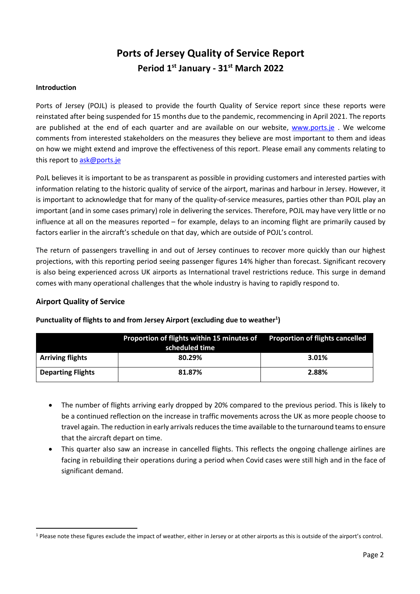# **Ports of Jersey Quality of Service Report Period 1 st January - 31st March 2022**

#### **Introduction**

Ports of Jersey (POJL) is pleased to provide the fourth Quality of Service report since these reports were reinstated after being suspended for 15 months due to the pandemic, recommencing in April 2021. The reports are published at the end of each quarter and are available on our website, [www.ports.je](http://www.ports.je/). We welcome comments from interested stakeholders on the measures they believe are most important to them and ideas on how we might extend and improve the effectiveness of this report. Please email any comments relating to this report t[o ask@ports.je](mailto:ask@ports.je)

PoJL believes it is important to be as transparent as possible in providing customers and interested parties with information relating to the historic quality of service of the airport, marinas and harbour in Jersey. However, it is important to acknowledge that for many of the quality-of-service measures, parties other than POJL play an important (and in some cases primary) role in delivering the services. Therefore, POJL may have very little or no influence at all on the measures reported – for example, delays to an incoming flight are primarily caused by factors earlier in the aircraft's schedule on that day, which are outside of POJL's control.

The return of passengers travelling in and out of Jersey continues to recover more quickly than our highest projections, with this reporting period seeing passenger figures 14% higher than forecast. Significant recovery is also being experienced across UK airports as International travel restrictions reduce. This surge in demand comes with many operational challenges that the whole industry is having to rapidly respond to.

### **Airport Quality of Service**

|                          | Proportion of flights within 15 minutes of Proportion of flights cancelled<br>scheduled time |       |
|--------------------------|----------------------------------------------------------------------------------------------|-------|
| <b>Arriving flights</b>  | 80.29%                                                                                       | 3.01% |
| <b>Departing Flights</b> | 81.87%                                                                                       | 2.88% |

#### **Punctuality of flights to and from Jersey Airport (excluding due to weather<sup>1</sup> )**

- The number of flights arriving early dropped by 20% compared to the previous period. This is likely to be a continued reflection on the increase in traffic movements across the UK as more people choose to travel again. The reduction in early arrivals reduces the time available to the turnaround teams to ensure that the aircraft depart on time.
- This quarter also saw an increase in cancelled flights. This reflects the ongoing challenge airlines are facing in rebuilding their operations during a period when Covid cases were still high and in the face of significant demand.

<sup>&</sup>lt;sup>1</sup> Please note these figures exclude the impact of weather, either in Jersey or at other airports as this is outside of the airport's control.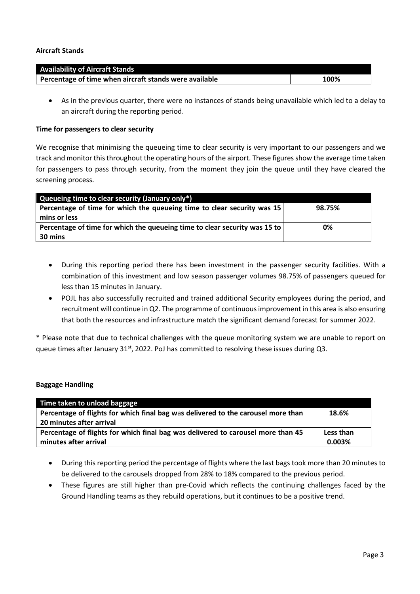#### **Aircraft Stands**

| <b>Availability of Aircraft Stands</b>                 |      |
|--------------------------------------------------------|------|
| Percentage of time when aircraft stands were available | 100% |

• As in the previous quarter, there were no instances of stands being unavailable which led to a delay to an aircraft during the reporting period.

#### **Time for passengers to clear security**

We recognise that minimising the queueing time to clear security is very important to our passengers and we track and monitor this throughout the operating hours of the airport. These figuresshow the average time taken for passengers to pass through security, from the moment they join the queue until they have cleared the screening process.

| Queueing time to clear security (January only*)                            |        |
|----------------------------------------------------------------------------|--------|
| Percentage of time for which the queueing time to clear security was 15    | 98.75% |
| mins or less                                                               |        |
| Percentage of time for which the queueing time to clear security was 15 to | 0%     |
| 30 mins                                                                    |        |

- During this reporting period there has been investment in the passenger security facilities. With a combination of this investment and low season passenger volumes 98.75% of passengers queued for less than 15 minutes in January.
- POJL has also successfully recruited and trained additional Security employees during the period, and recruitment will continue in Q2. The programme of continuous improvement in this area is also ensuring that both the resources and infrastructure match the significant demand forecast for summer 2022.

\* Please note that due to technical challenges with the queue monitoring system we are unable to report on queue times after January 31<sup>st</sup>, 2022. PoJ has committed to resolving these issues during Q3.

#### **Baggage Handling**

| Time taken to unload baggage                                                      |           |
|-----------------------------------------------------------------------------------|-----------|
| Percentage of flights for which final bag was delivered to the carousel more than | 18.6%     |
| 20 minutes after arrival                                                          |           |
| Percentage of flights for which final bag was delivered to carousel more than 45  | Less than |
| minutes after arrival                                                             | 0.003%    |

- During this reporting period the percentage of flights where the last bags took more than 20 minutes to be delivered to the carousels dropped from 28% to 18% compared to the previous period.
- These figures are still higher than pre-Covid which reflects the continuing challenges faced by the Ground Handling teams as they rebuild operations, but it continues to be a positive trend.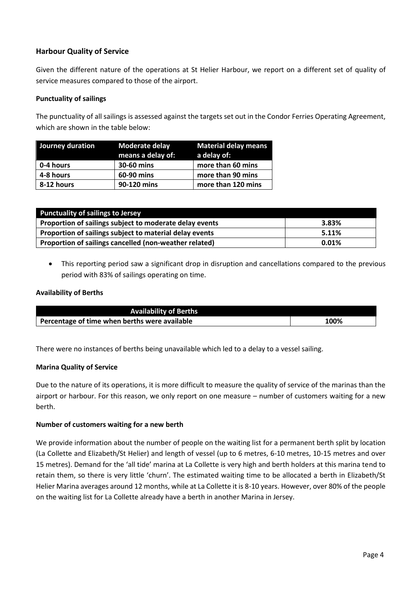# **Harbour Quality of Service**

Given the different nature of the operations at St Helier Harbour, we report on a different set of quality of service measures compared to those of the airport.

#### **Punctuality of sailings**

The punctuality of all sailings is assessed against the targets set out in the Condor Ferries Operating Agreement, which are shown in the table below:

| Journey duration | Moderate delay<br>means a delay of: | <b>Material delay means</b><br>a delay of: |
|------------------|-------------------------------------|--------------------------------------------|
| 0-4 hours        | 30-60 mins                          | more than 60 mins                          |
| 4-8 hours        | 60-90 mins                          | more than 90 mins                          |
| 8-12 hours       | 90-120 mins                         | more than 120 mins                         |

| <b>Punctuality of sailings to Jersey</b>                |          |  |  |
|---------------------------------------------------------|----------|--|--|
| Proportion of sailings subject to moderate delay events | 3.83%    |  |  |
| Proportion of sailings subject to material delay events | 5.11%    |  |  |
| Proportion of sailings cancelled (non-weather related)  | $0.01\%$ |  |  |

• This reporting period saw a significant drop in disruption and cancellations compared to the previous period with 83% of sailings operating on time.

#### **Availability of Berths**

| <b>Availability of Berths</b>                 |      |
|-----------------------------------------------|------|
| Percentage of time when berths were available | 100% |

There were no instances of berths being unavailable which led to a delay to a vessel sailing.

#### **Marina Quality of Service**

Due to the nature of its operations, it is more difficult to measure the quality of service of the marinas than the airport or harbour. For this reason, we only report on one measure – number of customers waiting for a new berth.

#### **Number of customers waiting for a new berth**

We provide information about the number of people on the waiting list for a permanent berth split by location (La Collette and Elizabeth/St Helier) and length of vessel (up to 6 metres, 6-10 metres, 10-15 metres and over 15 metres). Demand for the 'all tide' marina at La Collette is very high and berth holders at this marina tend to retain them, so there is very little 'churn'. The estimated waiting time to be allocated a berth in Elizabeth/St Helier Marina averages around 12 months, while at La Collette it is 8-10 years. However, over 80% of the people on the waiting list for La Collette already have a berth in another Marina in Jersey.